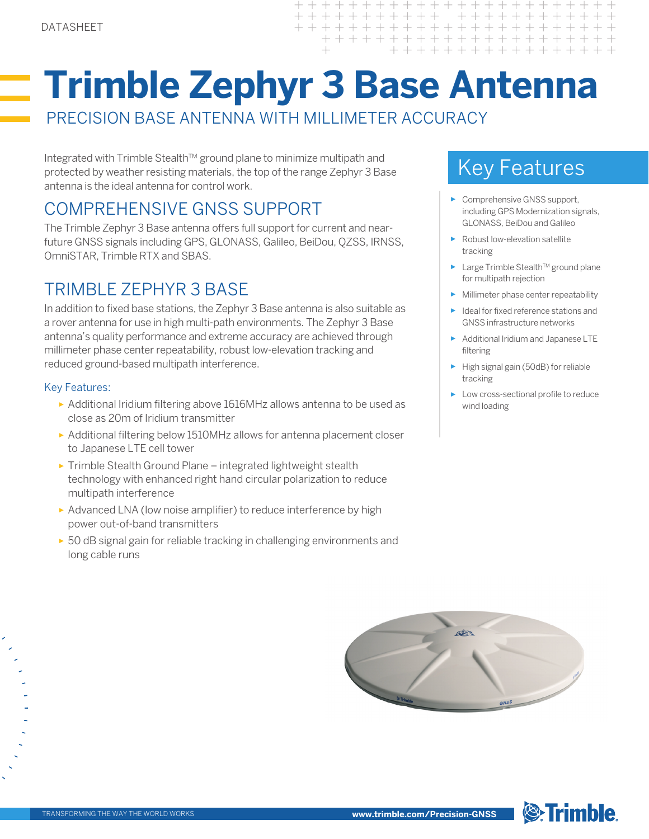# **Trimble Zephyr 3 Base Antenna**

 $+ +$  $\rightarrow$  $\perp$  $+$ 

 $+$ 

 $++ + +$ 

 $+ + +$ 

 $\perp$ 

 $\pm$ 

 $\! + \!\!\!\!$ 

 $+$ 

 $\overline{\phantom{0}}$ 

 $+$ 

PRECISION BASE ANTENNA WITH MILLIMETER ACCURACY

Integrated with Trimble Stealth™ ground plane to minimize multipath and protected by weather resisting materials, the top of the range Zephyr 3 Base antenna is the ideal antenna for control work.

# COMPREHENSIVE GNSS SUPPORT

The Trimble Zephyr 3 Base antenna offers full support for current and nearfuture GNSS signals including GPS, GLONASS, Galileo, BeiDou, QZSS, IRNSS, OmniSTAR, Trimble RTX and SBAS.

## TRIMBLE ZEPHYR 3 BASE

In addition to fixed base stations, the Zephyr 3 Base antenna is also suitable as a rover antenna for use in high multi-path environments. The Zephyr 3 Base antenna's quality performance and extreme accuracy are achieved through millimeter phase center repeatability, robust low-elevation tracking and reduced ground-based multipath interference.

### Key Features:

- ► Additional Iridium filtering above 1616MHz allows antenna to be used as close as 20m of Iridium transmitter
- ► Additional filtering below 1510MHz allows for antenna placement closer to Japanese LTE cell tower
- ► Trimble Stealth Ground Plane integrated lightweight stealth technology with enhanced right hand circular polarization to reduce multipath interference
- ► Advanced LNA (low noise amplifier) to reduce interference by high power out-of-band transmitters
- ► 50 dB signal gain for reliable tracking in challenging environments and long cable runs

# Key Features

- ► Comprehensive GNSS support, including GPS Modernization signals, GLONASS, BeiDou and Galileo
- ► Robust low-elevation satellite tracking
- ► Large Trimble Stealth<sup>™</sup> ground plane for multipath rejection
- ► Millimeter phase center repeatability
- ► Ideal for fixed reference stations and GNSS infrastructure networks
- ► Additional Iridium and Japanese LTE filtering
- ► High signal gain (50dB) for reliable tracking
- ► Low cross-sectional profile to reduce wind loading